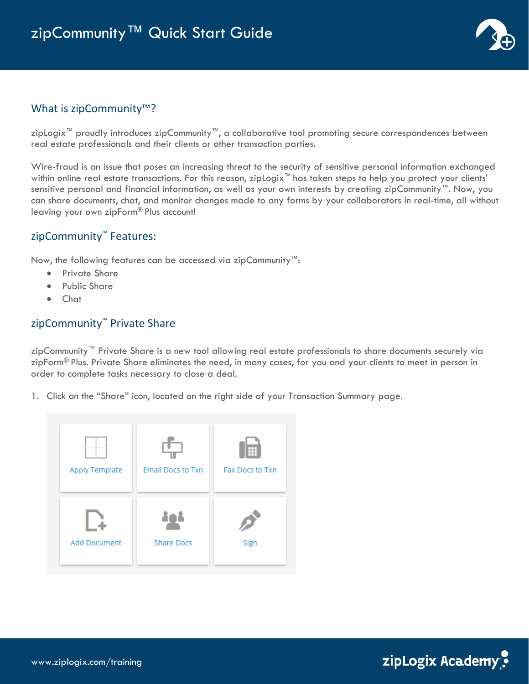

#### What is zipCommunity<sup>™</sup>?

zipLogix™ proudly introduces zipCommunity™, a collaborative tool promoting secure correspondences between real estate professionals and their clients or other transaction parties.

Wire-fraud is an issue that poses an increasing threat to the security of sensitive personal information exchanged within online real estate transactions. For this reason, zipLogix<sup>™</sup> has taken steps to help you protect your clients' sensitive personal and financial information, as well as your own interests by creating zipCommunity™. Now, you can share documents, chat, and monitor changes made to any forms by your collaborators in real-time, all without leaving your own zipForm® Plus account!

### zipCommunity™ Features:

Now, the following features can be accessed via zipCommunity™:

- Private Share
- Public Share
- Chat

#### zipCommunity<sup>™</sup> Private Share

zipCommunity™ Private Share is a new tool allowing real estate professionals to share documents securely via zipForm® Plus. Private Share eliminates the need, in many cases, for you and your clients to meet in person in order to complete tasks necessary to close a deal.

1. Click on the "Share" icon, located on the right side of your Transaction Summary page.

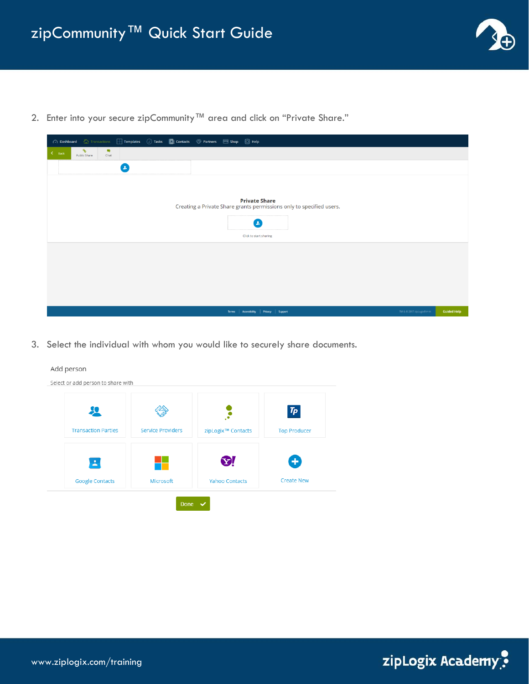

2. Enter into your secure zipCommunity™ area and click on "Private Share."

| → Dashboard → Transactions → Templates → Tasks → Contacts → Partners → Shop → C Help         |                            |                    |
|----------------------------------------------------------------------------------------------|----------------------------|--------------------|
| $\mathcal{P}$<br>$\blacksquare$<br>$\zeta$ Back<br>Public Share<br>Chat                      |                            |                    |
| $\mathbf{z}$                                                                                 |                            |                    |
|                                                                                              |                            |                    |
| <b>Private Share</b><br>Creating a Private Share grants permissions only to specified users. |                            |                    |
| $\bullet$                                                                                    |                            |                    |
| Click to start sharing                                                                       |                            |                    |
|                                                                                              |                            |                    |
|                                                                                              |                            |                    |
|                                                                                              |                            |                    |
|                                                                                              |                            |                    |
| Terms   Accessibility   Privacy   Support                                                    | TM & @ 2017 zipLogix® P191 | <b>Guided Help</b> |
|                                                                                              |                            |                    |

3. Select the individual with whom you would like to securely share documents.



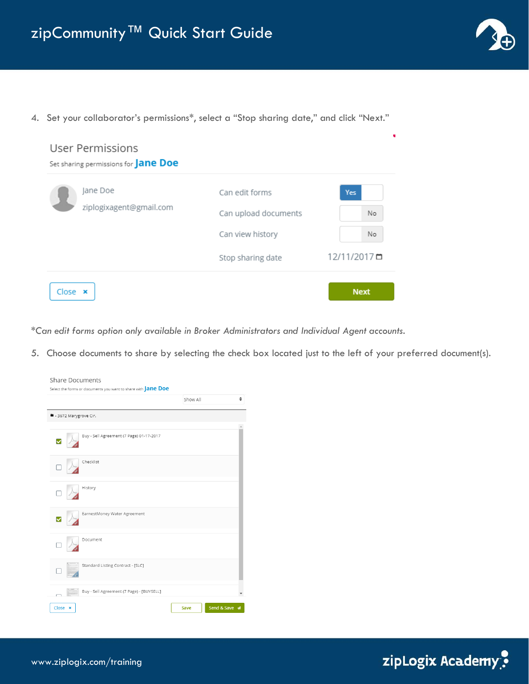

4. Set your collaborator's permissions\*, select a "Stop sharing date," and click "Next."



*\*Can edit forms option only available in Broker Administrators and Individual Agent accounts.*

5. Choose documents to share by selecting the check box located just to the left of your preferred document(s).

| <b>Share Documents</b>                                               |                                |
|----------------------------------------------------------------------|--------------------------------|
| Select the forms or documents you want to share with <b>Jane Doe</b> |                                |
|                                                                      | $\hat{\mathbf{z}}$<br>Show All |
| ■ - 3672 Marygrove Cir.                                              |                                |
|                                                                      |                                |
| Buy - Sell Agreement (7 Page) 01-17-2017                             |                                |
| Checklist                                                            |                                |
| History                                                              |                                |
| EarnestMoney Water Agreement                                         |                                |
| Document                                                             |                                |
| Standard Listing Contract - [SLC]                                    |                                |
| Buy - Sell Agreement (7 Page) - [BUYSELL]                            |                                |
| Close x                                                              | Send & Save 4<br>Save          |

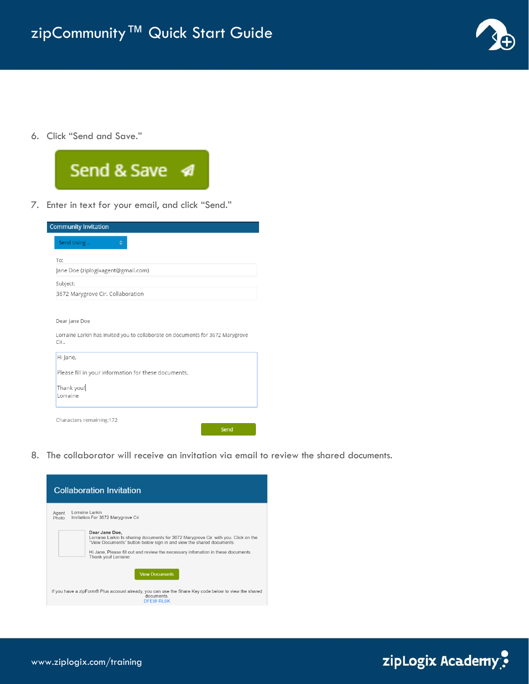

6. Click "Send and Save."



7. Enter in text for your email, and click "Send."

| <b>Community Invitation</b>       |                                                                                |
|-----------------------------------|--------------------------------------------------------------------------------|
| Send Using                        |                                                                                |
|                                   |                                                                                |
| To:                               | Jane Doe (ziplogixagent@gmail.com)                                             |
| Subject:                          |                                                                                |
| 3672 Marygrove Cir. Collaboration |                                                                                |
|                                   |                                                                                |
| Dear Jane Doe                     |                                                                                |
|                                   |                                                                                |
|                                   |                                                                                |
| Cir                               | Lorraine Larkin has invited you to collaborate on documents for 3672 Marygrove |
|                                   |                                                                                |
| Hi Jane,                          |                                                                                |
|                                   | Please fill in your information for these documents.                           |
|                                   |                                                                                |
| Thank you!<br>Lorraine            |                                                                                |
|                                   |                                                                                |
| Characters remaining:172          |                                                                                |

8. The collaborator will receive an invitation via email to review the shared documents.



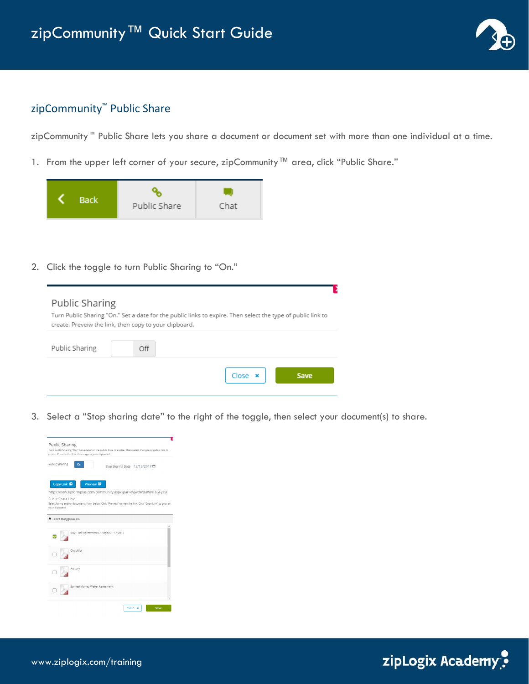

# zipCommunity<sup>™</sup> Public Share

zipCommunity™ Public Share lets you share a document or document set with more than one individual at a time.

1. From the upper left corner of your secure, zipCommunity™ area, click "Public Share."



2. Click the toggle to turn Public Sharing to "On."

| Public Sharing | Turn Public Sharing "On." Set a date for the public links to expire. Then select the type of public link to<br>create. Preveiw the link, then copy to your clipboard. |  |
|----------------|-----------------------------------------------------------------------------------------------------------------------------------------------------------------------|--|
| Public Sharing | Off                                                                                                                                                                   |  |
|                | $Close \times$<br>Save                                                                                                                                                |  |

3. Select a "Stop sharing date" to the right of the toggle, then select your document(s) to share.



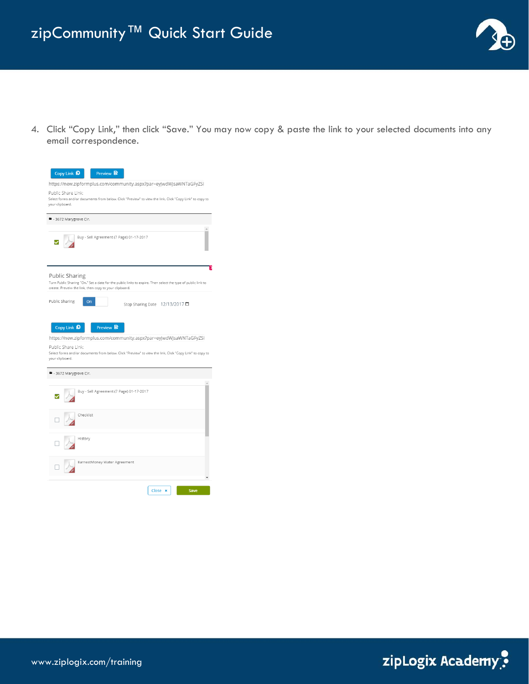

4. Click "Copy Link," then click "Save." You may now copy & paste the link to your selected documents into any email correspondence.

| Copy Link <sup>D</sup><br>Preview <b>Q</b>                                                                                                                                                                                                                            |
|-----------------------------------------------------------------------------------------------------------------------------------------------------------------------------------------------------------------------------------------------------------------------|
| https://new.zipformplus.com/community.aspx?par=eyJwdWJsaWNTaGFyZSI                                                                                                                                                                                                    |
| Public Share Link:<br>Select forms and/or documents from below. Click "Preview" to view the link. Click "Copy Link" to copy to<br>your clipboard.                                                                                                                     |
| ■ - 3672 Marygrove Cir.                                                                                                                                                                                                                                               |
| Buy - Sell Agreement (7 Page) 01-17-2017                                                                                                                                                                                                                              |
| <b>Public Sharing</b><br>Turn Public Sharing "On." Set a date for the public links to expire. Then select the type of public link to<br>create. Preveiw the link, then copy to your clipboard.                                                                        |
| Public Sharing<br>On<br>Stop Sharing Date 12/13/2017□                                                                                                                                                                                                                 |
| Copy Link <b>D</b><br>Preview <sup>B</sup><br>https://new.zipformplus.com/community.aspx?par=eyJwdWJsaWNTaGFyZSI<br>Public Share Link:<br>Select forms and/or documents from below. Click "Preview" to view the link. Click "Copy Link" to copy to<br>your clipboard. |
| ■ - 3672 Marygrove Cir.                                                                                                                                                                                                                                               |
| Buy - Sell Agreement (7 Page) 01-17-2017                                                                                                                                                                                                                              |
| Checklist                                                                                                                                                                                                                                                             |
| History                                                                                                                                                                                                                                                               |
| EarnestMoney Water Agreement                                                                                                                                                                                                                                          |
| Close x<br>Save                                                                                                                                                                                                                                                       |

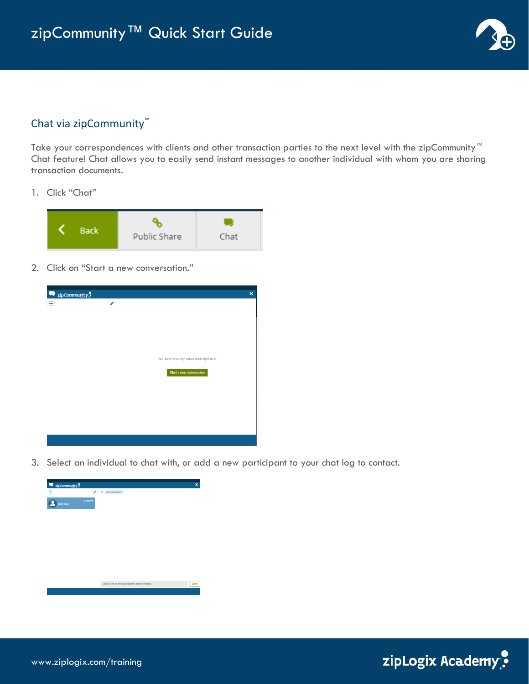

## Chat via zipCommunity™

Take your correspondences with clients and other transaction parties to the next level with the zipCommunity™ Chat feature! Chat allows you to easily send instant messages to another individual with whom you are sharing transaction documents.

1. Click "Chat"



2. Click on "Start a new conversation."

| zipCommunity? |               |                                            | $\pmb{\times}$ |
|---------------|---------------|--------------------------------------------|----------------|
| $\equiv$      | $\mathcal{S}$ |                                            |                |
|               |               |                                            |                |
|               |               |                                            |                |
|               |               |                                            |                |
|               |               | You don't have any active chats right now. |                |
|               |               | Start a new conversation                   |                |
|               |               |                                            |                |
|               |               |                                            |                |
|               |               |                                            |                |
|               |               |                                            |                |
|               |               |                                            |                |

3. Select an individual to chat with, or add a new participant to your chat log to contact.